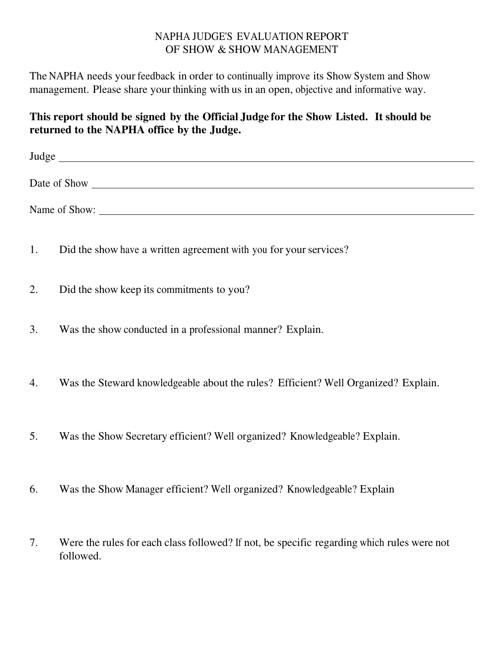## NAPHA JUDGE'S EVALUATION REPORT OF SHOW & SHOW MANAGEMENT

The NAPHA needs your feedback in order to continually improve its Show System and Show management. Please share your thinking with us in an open, objective and informative way.

## **This report should be signed by the Official Judge for the Show Listed. It should be returned to the NAPHA office by the Judge.**

| Judge         |  |  |  |
|---------------|--|--|--|
| Date of Show  |  |  |  |
| Name of Show: |  |  |  |

- 1. Did the show have a written agreement with you for your services?
- 2. Did the show keep its commitments to you?
- 3. Was the show conducted in a professional manner? Explain.
- 4. Was the Steward knowledgeable about the rules? Efficient? Well Organized? Explain.
- 5. Was the Show Secretary efficient? Well organized? Knowledgeable? Explain.
- 6. Was the Show Manager efficient? Well organized? Knowledgeable? Explain
- 7. Were the rules for each class followed? If not, be specific regarding which rules were not followed.